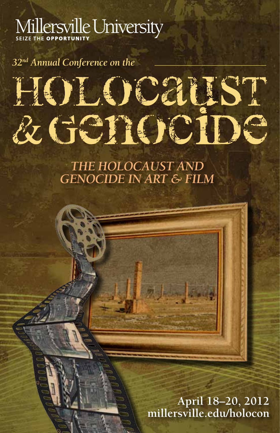## Millersville University

*32nd Annual Conference on the*

# HOLOCAIST & Genocipe

*THE HOLOCAUST AND GENOCIDE IN ART & FILM*

> **April 18–20, 2012 millersville.edu/holocon**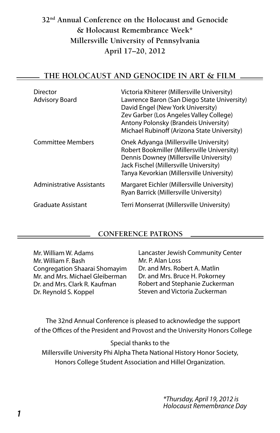#### **32nd Annual Conference on the Holocaust and Genocide & Holocaust Remembrance Week\* Millersville University of Pennsylvania April 17–20, 2012**

#### **THE HOLOCAUST AND GENOCIDE IN ART & FILM**

| Director<br><b>Advisory Board</b> | Victoria Khiterer (Millersville University)<br>Lawrence Baron (San Diego State University)<br>David Engel (New York University)<br>Zev Garber (Los Angeles Valley College)<br>Antony Polonsky (Brandeis University)<br>Michael Rubinoff (Arizona State University) |
|-----------------------------------|--------------------------------------------------------------------------------------------------------------------------------------------------------------------------------------------------------------------------------------------------------------------|
| <b>Committee Members</b>          | Onek Adyanga (Millersville University)<br>Robert Bookmiller (Millersville University)<br>Dennis Downey (Millersville University)<br>Jack Fischel (Millersville University)<br>Tanya Kevorkian (Millersville University)                                            |
| <b>Administrative Assistants</b>  | Margaret Eichler (Millersville University)<br>Ryan Barrick (Millersville University)                                                                                                                                                                               |
| <b>Graduate Assistant</b>         | Terri Monserrat (Millersville University)                                                                                                                                                                                                                          |

#### **CONFERENCE PATRONS**

Mr. William W. Adams Mr. William F. Bash Congregation Shaarai Shomayim Mr. and Mrs. Michael Gleiberman Dr. and Mrs. Clark R. Kaufman Dr. Reynold S. Koppel

Lancaster Jewish Community Center Mr. P. Alan Loss Dr. and Mrs. Robert A. Matlin Dr. and Mrs. Bruce H. Pokorney Robert and Stephanie Zuckerman Steven and Victoria Zuckerman

The 32nd Annual Conference is pleased to acknowledge the support of the Offices of the President and Provost and the University Honors College

Special thanks to the

Millersville University Phi Alpha Theta National History Honor Society, Honors College Student Association and Hillel Organization.

> \*Thursday, April 19, 2012 is Holocaust Remembrance Day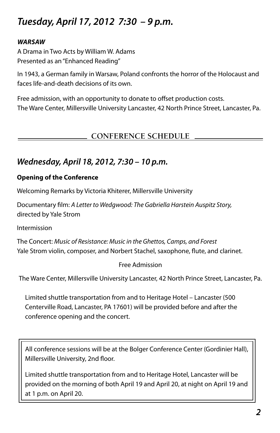## **Tuesday, April 17, 2012 7:30 – 9 p.m.**

#### **WARSAW**

A Drama in Two Acts by William W. Adams Presented as an "Enhanced Reading"

In 1943, a German family in Warsaw, Poland confronts the horror of the Holocaust and faces life-and-death decisions of its own.

Free admission, with an opportunity to donate to offset production costs. The Ware Center, Millersville University Lancaster, 42 North Prince Street, Lancaster, Pa.

#### **CONFERENCE SCHEDULE**

#### **Wednesday, April 18, 2012, 7:30 – 10 p.m.**

#### **Opening of the Conference**

Welcoming Remarks by Victoria Khiterer, Millersville University

Documentary film: A Letter to Wedgwood: The Gabriella Harstein Auspitz Story, directed by Yale Strom

Intermission

The Concert: Music of Resistance: Music in the Ghettos, Camps, and Forest Yale Strom violin, composer, and Norbert Stachel, saxophone, flute, and clarinet.

#### Free Admission

The Ware Center, Millersville University Lancaster, 42 North Prince Street, Lancaster, Pa.

Limited shuttle transportation from and to Heritage Hotel – Lancaster (500 Centerville Road, Lancaster, PA 17601) will be provided before and after the conference opening and the concert.

All conference sessions will be at the Bolger Conference Center (Gordinier Hall), Millersville University, 2nd floor.

Limited shuttle transportation from and to Heritage Hotel, Lancaster will be provided on the morning of both April 19 and April 20, at night on April 19 and at 1 p.m. on April 20.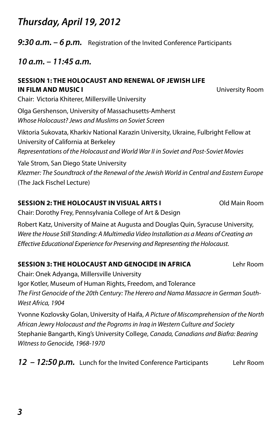## **Thursday, April 19, 2012**

**9:30 a.m. – 6 p.m.** Registration of the Invited Conference Participants

**10 a.m. – 11:45 a.m.**

## **SESSION 1: THE HOLOCAUST AND RENEWAL OF JEWISH LIFE IN FILM AND MUSIC I** University Room

Chair: Victoria Khiterer, Millersville University Olga Gershenson, University of Massachusetts-Amherst Whose Holocaust? Jews and Muslims on Soviet Screen Viktoria Sukovata, Kharkiv National Karazin University, Ukraine, Fulbright Fellow at University of California at Berkeley Representations of the Holocaust and World War II in Soviet and Post-Soviet Movies Yale Strom, San Diego State University Klezmer: The Soundtrack of the Renewal of the Jewish World in Central and Eastern Europe (The Jack Fischel Lecture)

#### **SESSION 2: THE HOLOCAUST IN VISUAL ARTS I** Old Main Room

Chair: Dorothy Frey, Pennsylvania College of Art & Design

Robert Katz, University of Maine at Augusta and Douglas Quin, Syracuse University, Were the House Still Standing: A Multimedia Video Installation as a Means of Creating an Effective Educational Experience for Preserving and Representing the Holocaust.

#### **SESSION 3: THE HOLOCAUST AND GENOCIDE IN AFRICA** Lehr Room

Chair: Onek Adyanga, Millersville University Igor Kotler, Museum of Human Rights, Freedom, and Tolerance The First Genocide of the 20th Century: The Herero and Nama Massacre in German South-West Africa, 1904

Yvonne Kozlovsky Golan, University of Haifa, A Picture of Miscomprehension of the North African Jewry Holocaust and the Pogroms in Iraq in Western Culture and Society Stephanie Bangarth, King's University College, Canada, Canadians and Biafra: Bearing Witness to Genocide, 1968-1970

**12 – 12:50 p.m.** Lunch for the Invited Conference Participants Lehr Room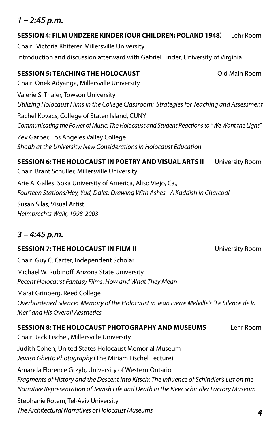#### **1 – 2:45 p.m.**

#### **SESSION 4: FILM UNDZERE KINDER (OUR CHILDREN; POLAND 1948)** Lehr Room

Chair: Victoria Khiterer, Millersville University Introduction and discussion afterward with Gabriel Finder, University of Virginia

#### **SESSION 5: TEACHING THE HOLOCAUST** Old Main Room

Chair: Onek Adyanga, Millersville University Valerie S. Thaler, Towson University Utilizing Holocaust Films in the College Classroom: Strategies for Teaching and Assessment Rachel Kovacs, College of Staten Island, CUNY Communicating the Power of Music: The Holocaust and Student Reactions to "We Want the Light" Zev Garber, Los Angeles Valley College Shoah at the University: New Considerations in Holocaust Education

**SESSION 6: THE HOLOCAUST IN POETRY AND VISUAL ARTS II** University Room Chair: Brant Schuller, Millersville University

Arie A. Galles, Soka University of America, Aliso Viejo, Ca., Fourteen Stations/Hey, Yud, Dalet: Drawing With Ashes - A Kaddish in Charcoal

Susan Silas, Visual Artist Helmbrechts Walk, 1998-2003

#### **3 – 4:45 p.m.**

#### **SESSION 7: THE HOLOCAUST IN FILM II**  University Room

Chair: Guy C. Carter, Independent Scholar Michael W. Rubinoff, Arizona State University Recent Holocaust Fantasy Films: How and What They Mean Marat Grinberg, Reed College Overburdened Silence: Memory of the Holocaust in Jean Pierre Melville's "Le Silence de la Mer" and His Overall Aesthetics

#### **SESSION 8: THE HOLOCAUST PHOTOGRAPHY AND MUSEUMS** Lehr Room

Chair: Jack Fischel, Millersville University Judith Cohen, United States Holocaust Memorial Museum Jewish Ghetto Photography (The Miriam Fischel Lecture) Amanda Florence Grzyb, University of Western Ontario Fragments of History and the Descent into Kitsch: The Influence of Schindler's List on the Narrative Representation of Jewish Life and Death in the New Schindler Factory Museum Stephanie Rotem, Tel-Aviv University The Architectural Narratives of Holocaust Museums **4**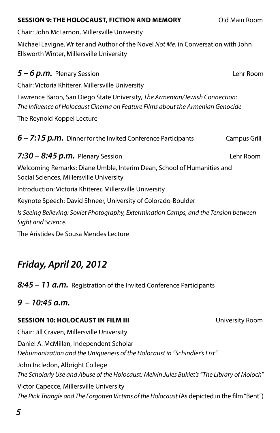#### **SESSION 9: THE HOLOCAUST, FICTION AND MEMORY** Old Main Room

Chair: John McLarnon, Millersville University

Michael Lavigne, Writer and Author of the Novel Not Me, in Conversation with John Ellsworth Winter, Millersville University

| $5 - 6$ p.m. Plenary Session                                                                                                                                  | Lehr Room    |  |
|---------------------------------------------------------------------------------------------------------------------------------------------------------------|--------------|--|
| Chair: Victoria Khiterer, Millersville University                                                                                                             |              |  |
| Lawrence Baron, San Diego State University, The Armenian/Jewish Connection:<br>The Influence of Holocaust Cinema on Feature Films about the Armenian Genocide |              |  |
| The Reynold Koppel Lecture                                                                                                                                    |              |  |
| 6 - 7:15 p.m. Dinner for the Invited Conference Participants                                                                                                  | Campus Grill |  |
| 7:30 – 8:45 $p.m.$ Plenary Session                                                                                                                            | Lehr Room    |  |
| Welcoming Remarks: Diane Umble, Interim Dean, School of Humanities and                                                                                        |              |  |
| Social Sciences, Millersville University                                                                                                                      |              |  |
| Introduction: Victoria Khiterer, Millersville University                                                                                                      |              |  |
| Keynote Speech: David Shneer, University of Colorado-Boulder                                                                                                  |              |  |
| Is Seeing Believing: Soviet Photography, Extermination Camps, and the Tension between<br>Sight and Science.                                                   |              |  |

The Aristides De Sousa Mendes Lecture

## **Friday, April 20, 2012**

**8:45 – 11 a.m.** Registration of the Invited Conference Participants

#### **9 – 10:45 a.m.**

#### **SESSION 10: HOLOCAUST IN FILM III University Room**

Chair: Jill Craven, Millersville University Daniel A. McMillan, Independent Scholar Dehumanization and the Uniqueness of the Holocaust in "Schindler's List" John Incledon, Albright College The Scholarly Use and Abuse of the Holocaust: Melvin Jules Bukiet's "The Library of Moloch" Victor Capecce, Millersville University

The Pink Triangle and The Forgotten Victims of the Holocaust (As depicted in the film "Bent")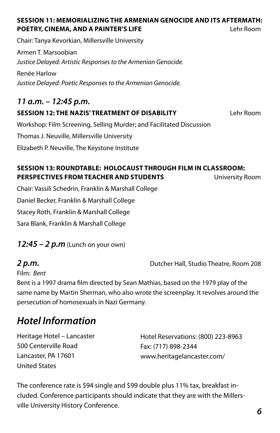#### **SESSION 11: MEMORIALIZING THE ARMENIAN GENOCIDE AND ITS AFTERMATH: POETRY, CINEMA, AND A PAINTER'S LIFE** Lehr Room

Chair: Tanya Kevorkian, Millersville University

Armen T. Marsoobian Justice Delayed: Artistic Responses to the Armenian Genocide.

Renée Harlow Justice Delayed: Poetic Responses to the Armenian Genocide.

#### **11 a.m. – 12:45 p.m.**

#### **SESSION 12: THE NAZIS' TREATMENT OF DISABILITY** Lehr Room

Workshop: Film Screening, Selling Murder; and Facilitated Discussion

Thomas J. Neuville, Millersville University

Elizabeth P. Neuville, The Keystone Institute

#### **SESSION 13: ROUNDTABLE: HOLOCAUST THROUGH FILM IN CLASSROOM: PERSPECTIVES FROM TEACHER AND STUDENTS** University Room

Chair: Vassili Schedrin, Franklin & Marshall College Daniel Becker, Franklin & Marshall College Stacey Roth, Franklin & Marshall College Sara Blank, Franklin & Marshall College

#### **12:45 – 2 p.m** (Lunch on your own)

**2 p.m.** Dutcher Hall, Studio Theatre, Room 208

Film: Bent

Bent is a 1997 drama film directed by Sean Mathias, based on the 1979 play of the same name by Martin Sherman, who also wrote the screenplay. It revolves around the persecution of homosexuals in Nazi Germany.

## **Hotel Information**

Heritage Hotel – Lancaster 500 Centerville Road Lancaster, PA 17601 United States

Hotel Reservations: (800) 223-8963 Fax: (717) 898-2344 www.heritagelancaster.com/

The conference rate is \$94 single and \$99 double plus 11% tax, breakfast included. Conference participants should indicate that they are with the Millersville University History Conference.